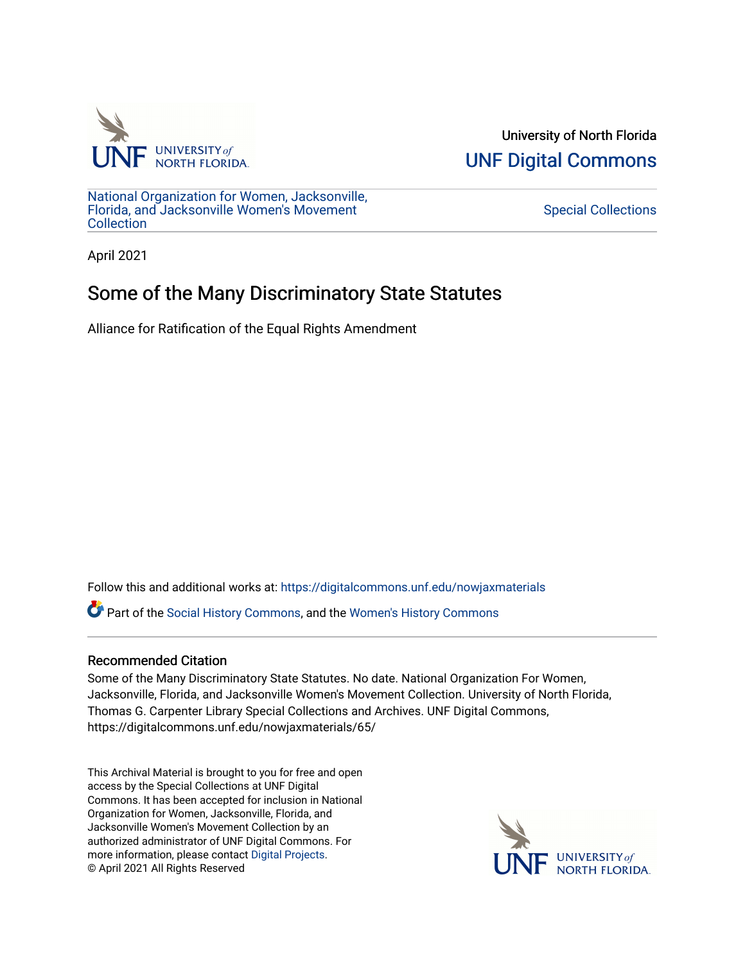

University of North Florida [UNF Digital Commons](https://digitalcommons.unf.edu/) 

[National Organization for Women, Jacksonville,](https://digitalcommons.unf.edu/nowjaxmaterials) [Florida, and Jacksonville Women's Movement](https://digitalcommons.unf.edu/nowjaxmaterials) **Collection** 

[Special Collections](https://digitalcommons.unf.edu/special_collections) 

April 2021

## Some of the Many Discriminatory State Statutes

Alliance for Ratification of the Equal Rights Amendment

Follow this and additional works at: [https://digitalcommons.unf.edu/nowjaxmaterials](https://digitalcommons.unf.edu/nowjaxmaterials?utm_source=digitalcommons.unf.edu%2Fnowjaxmaterials%2F65&utm_medium=PDF&utm_campaign=PDFCoverPages) 

Part of the [Social History Commons](http://network.bepress.com/hgg/discipline/506?utm_source=digitalcommons.unf.edu%2Fnowjaxmaterials%2F65&utm_medium=PDF&utm_campaign=PDFCoverPages), and the [Women's History Commons](http://network.bepress.com/hgg/discipline/507?utm_source=digitalcommons.unf.edu%2Fnowjaxmaterials%2F65&utm_medium=PDF&utm_campaign=PDFCoverPages)

## Recommended Citation

Some of the Many Discriminatory State Statutes. No date. National Organization For Women, Jacksonville, Florida, and Jacksonville Women's Movement Collection. University of North Florida, Thomas G. Carpenter Library Special Collections and Archives. UNF Digital Commons, https://digitalcommons.unf.edu/nowjaxmaterials/65/

This Archival Material is brought to you for free and open access by the Special Collections at UNF Digital Commons. It has been accepted for inclusion in National Organization for Women, Jacksonville, Florida, and Jacksonville Women's Movement Collection by an authorized administrator of UNF Digital Commons. For more information, please contact [Digital Projects](mailto:lib-digital@unf.edu). © April 2021 All Rights Reserved